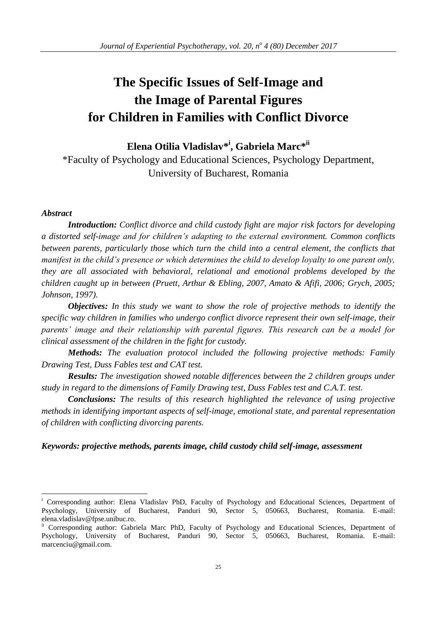# **The Specific Issues of Self-Image and the Image of Parental Figures for Children in Families with Conflict Divorce**

**Elena Otilia Vladislav\* i , Gabriela Marc\* ii**

\*Faculty of Psychology and Educational Sciences, Psychology Department, University of Bucharest, Romania

# *Abstract*

<u>.</u>

*Introduction: Conflict divorce and child custody fight are major risk factors for developing a distorted self-image and for children's adapting to the external environment. Common conflicts between parents, particularly those which turn the child into a central element, the conflicts that manifest in the child's presence or which determines the child to develop loyalty to one parent only, they are all associated with behavioral, relational and emotional problems developed by the children caught up in between (Pruett, Arthur & Ebling, 2007, Amato & Afifi, 2006; Grych, 2005; Johnson, 1997).*

*Objectives: In this study we want to show the role of projective methods to identify the specific way children in families who undergo conflict divorce represent their own self-image, their parents' image and their relationship with parental figures. This research can be a model for clinical assessment of the children in the fight for custody.*

*Methods: The evaluation protocol included the following projective methods: Family Drawing Test, Duss Fables test and CAT test.*

*Results: The investigation showed notable differences between the 2 children groups under study in regard to the dimensions of Family Drawing test, Duss Fables test and C.A.T. test.*

*Conclusions: The results of this research highlighted the relevance of using projective methods in identifying important aspects of self-image, emotional state, and parental representation of children with conflicting divorcing parents.*

# *Keywords: projective methods, parents image, child custody child self-image, assessment*

Corresponding author: Elena Vladislav PhD, Faculty of Psychology and Educational Sciences, Department of Psychology, University of Bucharest, Panduri 90, Sector 5, 050663, Bucharest, Romania. E-mail: elena.vladislav@fpse.unibuc.ro.

<sup>&</sup>lt;sup>ii</sup> Corresponding author: Gabriela Marc PhD, Faculty of Psychology and Educational Sciences, Department of Psychology, University of Bucharest, Panduri 90, Sector 5, 050663, Bucharest, Romania. E-mail: marcenciu@gmail.com.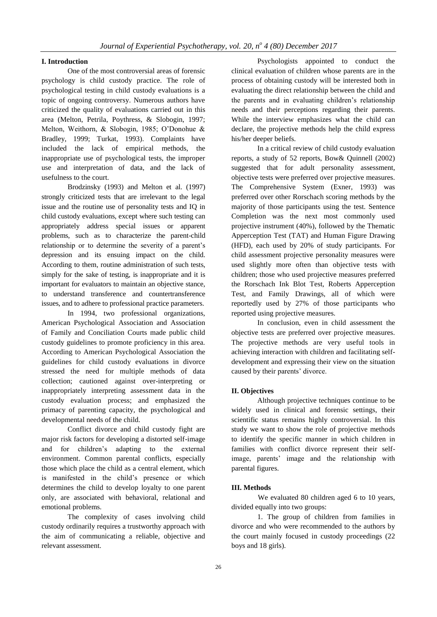#### **I. Introduction**

One of the most controversial areas of forensic psychology is child custody practice. The role of psychological testing in child custody evaluations is a topic of ongoing controversy. Numerous authors have criticized the quality of evaluations carried out in this area (Melton, Petrila, Poythress, & Slobogin, 1997; Melton, Weithorn, & Slobogin, 1985; O'Donohue & Bradley, 1999; Turkat, 1993). Complaints have included the lack of empirical methods, the inappropriate use of psychological tests, the improper use and interpretation of data, and the lack of usefulness to the court.

Brodzinsky (1993) and Melton et al. (1997) strongly criticized tests that are irrelevant to the legal issue and the routine use of personality tests and IQ in child custody evaluations, except where such testing can appropriately address special issues or apparent problems, such as to characterize the parent-child relationship or to determine the severity of a parent's depression and its ensuing impact on the child. According to them, routine administration of such tests, simply for the sake of testing, is inappropriate and it is important for evaluators to maintain an objective stance, to understand transference and countertransference issues, and to adhere to professional practice parameters.

In 1994, two professional organizations, American Psychological Association and Association of Family and Conciliation Courts made public child custody guidelines to promote proficiency in this area. According to American Psychological Association the guidelines for child custody evaluations in divorce stressed the need for multiple methods of data collection; cautioned against over-interpreting or inappropriately interpreting assessment data in the custody evaluation process; and emphasized the primacy of parenting capacity, the psychological and developmental needs of the child.

Conflict divorce and child custody fight are major risk factors for developing a distorted self-image and for children's adapting to the external environment. Common parental conflicts, especially those which place the child as a central element, which is manifested in the child's presence or which determines the child to develop loyalty to one parent only, are associated with behavioral, relational and emotional problems.

The complexity of cases involving child custody ordinarily requires a trustworthy approach with the aim of communicating a reliable, objective and relevant assessment.

Psychologists appointed to conduct the clinical evaluation of children whose parents are in the process of obtaining custody will be interested both in evaluating the direct relationship between the child and the parents and in evaluating children's relationship needs and their perceptions regarding their parents. While the interview emphasizes what the child can declare, the projective methods help the child express his/her deeper beliefs.

In a critical review of child custody evaluation reports, a study of 52 reports, Bow& Quinnell (2002) suggested that for adult personality assessment, objective tests were preferred over projective measures. The Comprehensive System (Exner, 1993) was preferred over other Rorschach scoring methods by the majority of those participants using the test. Sentence Completion was the next most commonly used projective instrument (40%), followed by the Thematic Apperception Test (TAT) and Human Figure Drawing (HFD), each used by 20% of study participants. For child assessment projective personality measures were used slightly more often than objective tests with children; those who used projective measures preferred the Rorschach Ink Blot Test, Roberts Apperception Test, and Family Drawings, all of which were reportedly used by 27% of those participants who reported using projective measures.

In conclusion, even in child assessment the objective tests are preferred over projective measures. The projective methods are very useful tools in achieving interaction with children and facilitating selfdevelopment and expressing their view on the situation caused by their parents' divorce.

# **II. Objectives**

Although projective techniques continue to be widely used in clinical and forensic settings, their scientific status remains highly controversial. In this study we want to show the role of projective methods to identify the specific manner in which children in families with conflict divorce represent their selfimage, parents' image and the relationship with parental figures.

### **III. Methods**

We evaluated 80 children aged 6 to 10 years, divided equally into two groups:

1. The group of children from families in divorce and who were recommended to the authors by the court mainly focused in custody proceedings (22 boys and 18 girls).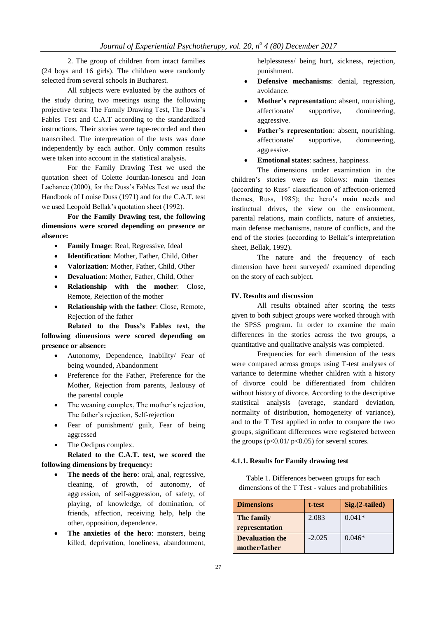2. The group of children from intact families (24 boys and 16 girls). The children were randomly selected from several schools in Bucharest.

All subjects were evaluated by the authors of the study during two meetings using the following projective tests: The Family Drawing Test, The Duss's Fables Test and C.A.T according to the standardized instructions. Their stories were tape-recorded and then transcribed. The interpretation of the tests was done independently by each author. Only common results were taken into account in the statistical analysis.

For the Family Drawing Test we used the quotation sheet of Colette Jourdan-Ionescu and Joan Lachance (2000), for the Duss's Fables Test we used the Handbook of Louise Duss (1971) and for the C.A.T. test we used Leopold Bellak's quotation sheet (1992).

**For the Family Drawing test, the following dimensions were scored depending on presence or absence:**

- **Family Image**: Real, Regressive, Ideal
- **Identification**: Mother, Father, Child, Other
- **Valorization**: Mother, Father, Child, Other
- **Devaluation**: Mother, Father, Child, Other
- **Relationship with the mother**: Close, Remote, Rejection of the mother
- **Relationship with the father**: Close, Remote, Rejection of the father

**Related to the Duss's Fables test, the following dimensions were scored depending on presence or absence:**

- Autonomy, Dependence, Inability/ Fear of being wounded, Abandonment
- Preference for the Father, Preference for the Mother, Rejection from parents, Jealousy of the parental couple
- The weaning complex, The mother's rejection, The father's rejection, Self-rejection
- Fear of punishment/ guilt, Fear of being aggressed
- The Oedipus complex.

**Related to the C.A.T. test, we scored the following dimensions by frequency:**

- **The needs of the hero**: oral, anal, regressive, cleaning, of growth, of autonomy, of aggression, of self-aggression, of safety, of playing, of knowledge, of domination, of friends, affection, receiving help, help the other, opposition, dependence.
- **The anxieties of the hero**: monsters, being killed, deprivation, loneliness, abandonment,

helplessness/ being hurt, sickness, rejection, punishment.

- **Defensive mechanisms**: denial, regression, avoidance.
- **Mother's representation**: absent, nourishing, affectionate/ supportive, domineering, aggressive.
- **Father's representation**: absent, nourishing, affectionate/ supportive, domineering, aggressive.
- **Emotional states**: sadness, happiness.

The dimensions under examination in the children's stories were as follows: main themes (according to Russ' classification of affection-oriented themes, Russ, 1985); the hero's main needs and instinctual drives, the view on the environment, parental relations, main conflicts, nature of anxieties, main defense mechanisms, nature of conflicts, and the end of the stories (according to Bellak's interpretation sheet, Bellak, 1992).

The nature and the frequency of each dimension have been surveyed/ examined depending on the story of each subject.

#### **IV. Results and discussion**

All results obtained after scoring the tests given to both subject groups were worked through with the SPSS program. In order to examine the main differences in the stories across the two groups, a quantitative and qualitative analysis was completed.

Frequencies for each dimension of the tests were compared across groups using T-test analyses of variance to determine whether children with a history of divorce could be differentiated from children without history of divorce. According to the descriptive statistical analysis (average, standard deviation, normality of distribution, homogeneity of variance), and to the T Test applied in order to compare the two groups, significant differences were registered between the groups  $(p<0.01/p<0.05)$  for several scores.

## **4.1.1. Results for Family drawing test**

Table 1. Differences between groups for each dimensions of the T Test - values and probabilities

| <b>Dimensions</b>                       | t-test   | $Sig.(2-tailed)$ |
|-----------------------------------------|----------|------------------|
| The family<br>representation            | 2.083    | $0.041*$         |
| <b>Devaluation the</b><br>mother/father | $-2.025$ | $0.046*$         |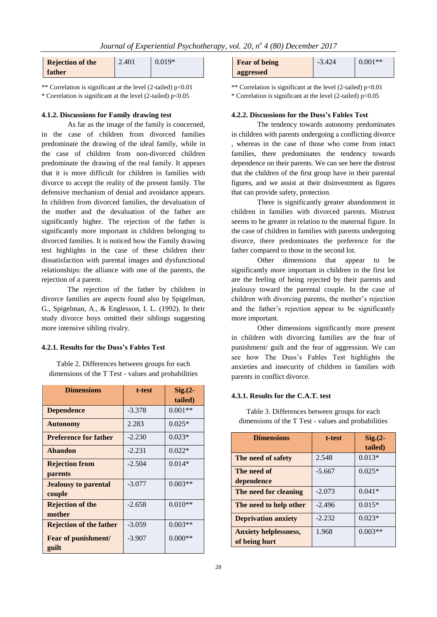| <b>Rejection of the</b> | 2.401 | $0.019*$ |
|-------------------------|-------|----------|
| father                  |       |          |

\*\* Correlation is significant at the level (2-tailed) p<0.01 \* Correlation is significant at the level (2-tailed) p<0.05

#### **4.1.2. Discussions for Family drawing test**

As far as the image of the family is concerned, in the case of children from divorced families predominate the drawing of the ideal family, while in the case of children from non-divorced children predominate the drawing of the real family. It appears that it is more difficult for children in families with divorce to accept the reality of the present family. The defensive mechanism of denial and avoidance appears. In children from divorced families, the devaluation of the mother and the devaluation of the father are significantly higher. The rejection of the father is significantly more important in children belonging to divorced families. It is noticed how the Family drawing test highlights in the case of these children their dissatisfaction with parental images and dysfunctional relationships: the alliance with one of the parents, the rejection of a parent.

The rejection of the father by children in divorce families are aspects found also by Spigelman, G., Spigelman, A., & Englesson, I. L. (1992). In their study divorce boys omitted their siblings suggesting more intensive sibling rivalry.

#### **4.2.1. Results for the Duss's Fables Test**

Table 2. Differences between groups for each dimensions of the T Test - values and probabilities

| <b>Dimensions</b>                     | t-test   | $Sig. (2 -$ |
|---------------------------------------|----------|-------------|
|                                       |          | tailed)     |
| <b>Dependence</b>                     | $-3.378$ | $0.001**$   |
| <b>Autonomy</b>                       | 2.283    | $0.025*$    |
| <b>Preference for father</b>          | $-2.230$ | $0.023*$    |
| Abandon                               | $-2.231$ | $0.022*$    |
| <b>Rejection from</b><br>parents      | $-2.504$ | $0.014*$    |
| <b>Jealousy to parental</b><br>couple | $-3.077$ | $0.003**$   |
| <b>Rejection of the</b><br>mother     | $-2.658$ | $0.010**$   |
| <b>Rejection of the father</b>        | $-3.059$ | $0.003**$   |
| Fear of punishment/<br>guilt          | $-3.907$ | $0.000**$   |

| <b>Fear of being</b> | $-3.424$ | $0.001**$ |
|----------------------|----------|-----------|
| aggressed            |          |           |

\*\* Correlation is significant at the level (2-tailed) p<0.01

\* Correlation is significant at the level (2-tailed) p<0.05

#### **4.2.2. Discussions for the Duss's Fables Test**

The tendency towards autonomy predominates in children with parents undergoing a conflicting divorce , whereas in the case of those who come from intact families, there predominates the tendency towards dependence on their parents. We can see here the distrust that the children of the first group have in their parental figures, and we assist at their disinvestment as figures that can provide safety, protection.

There is significantly greater abandonment in children in families with divorced parents. Mistrust seems to be greater in relation to the maternal figure. In the case of children in families with parents undergoing divorce, there predominates the preference for the father compared to those in the second lot.

Other dimensions that appear to be significantly more important in children in the first lot are the feeling of being rejected by their parents and jealousy toward the parental couple. In the case of children with divorcing parents, the mother's rejection and the father's rejection appear to be significantly more important.

Other dimensions significantly more present in children with divorcing families are the fear of punishment/ guilt and the fear of aggression. We can see how The Duss's Fables Test highlights the anxieties and insecurity of children in families with parents in conflict divorce.

# **4.3.1. Results for the C.A.T. test**

Table 3. Differences between groups for each dimensions of the T Test - values and probabilities

| <b>Dimensions</b>                             | t-test   | $Sig.(2-$<br>tailed) |
|-----------------------------------------------|----------|----------------------|
| The need of safety                            | 2.548    | $0.013*$             |
| The need of<br>dependence                     | $-5.667$ | $0.025*$             |
| The need for cleaning                         | $-2.073$ | $0.041*$             |
| The need to help other                        | $-2.496$ | $0.015*$             |
| <b>Deprivation anxiety</b>                    | $-2.232$ | $0.023*$             |
| <b>Anxiety helplessness,</b><br>of being hurt | 1.968    | $0.003**$            |